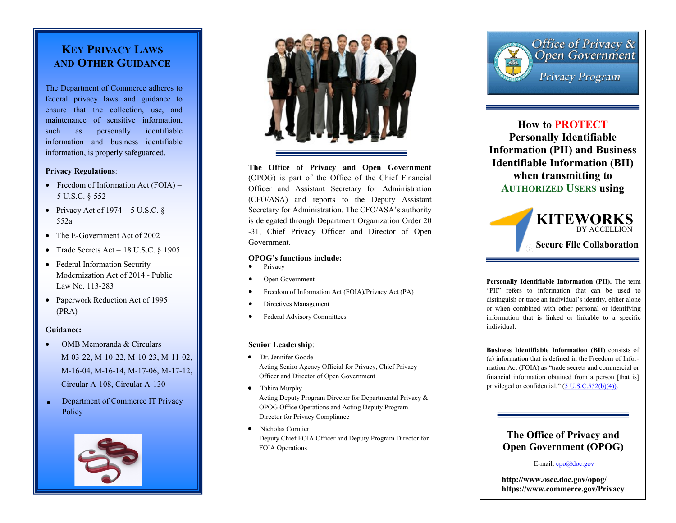## **KEY PRIVACY LAWS AND OTHER GUIDANCE**

The Department of Commerce adheres to federal privacy laws and guidance to ensure that the collection, use, and maintenance of sensitive information, such as personally identifiable information and business identifiable information, is properly safeguarded.

### **Privacy Regulations**:

- Freedom of Information Act  $(FOIA)$  5 U.S.C. § 552
- Privacy Act of 1974 5 U.S.C. § 552a
- The E-Government Act of 2002
- Trade Secrets Act *–* 18 U.S.C. § 1905
- Federal Information Security Modernization Act of 2014 - Public Law No. 113-283
- Paperwork Reduction Act of 1995 (PRA)

### **Guidance:**

- OMB Memoranda & Circulars M-03-22, M-10-22, M-10-23, M-11-02, M-16-04, M-16-14, M-17-06, M-17-12, Circular A-108, Circular A-130
- Department of Commerce IT Privacy **Policy**





**The Office of Privacy and Open Government**  (OPOG) is part of the Office of the Chief Financial Officer and Assistant Secretary for Administration (CFO/ASA) and reports to the Deputy Assistant Secretary for Administration. The CFO/ASA's authority is delegated through Department Organization Order 20 -31, Chief Privacy Officer and Director of Open Government.

### **OPOG's functions include:**

- Privacy
- Open Government
- Freedom of Information Act (FOIA)/Privacy Act (PA)
- Directives Management
- Federal Advisory Committees

### **Senior Leadership**:

- Dr. Jennifer Goode Acting Senior Agency Official for Privacy, Chief Privacy Officer and Director of Open Government
- Tahira Murphy Acting Deputy Program Director for Departmental Privacy & OPOG Office Operations and Acting Deputy Program Director for Privacy Compliance
- Nicholas Cormier Deputy Chief FOIA Officer and Deputy Program Director for FOIA Operations



**How to PROTECT Personally Identifiable Information (PII) and Business Identifiable Information (BII) when transmitting to AUTHORIZED USERS using**



**Personally Identifiable Information (PII).** The term "PII" refers to information that can be used to distinguish or trace an individual's identity, either alone or when combined with other personal or identifying information that is linked or linkable to a specific individual.

**Business Identifiable Information (BII)** consists of (a) information that is defined in the Freedom of Information Act (FOIA) as "trade secrets and commercial or financial information obtained from a person [that is] privileged or confidential." ([5 U.S.C.552\(b\)\(4\)\).](http://www.justice.gov/oip/foia_updates/Vol_XVII_4/page2.htm)

### **The Office of Privacy and Open Government (OPOG)**

E-mail: cpo@doc.gov

**http://www.osec.doc.gov/opog/ https://www.commerce.gov/Privacy**